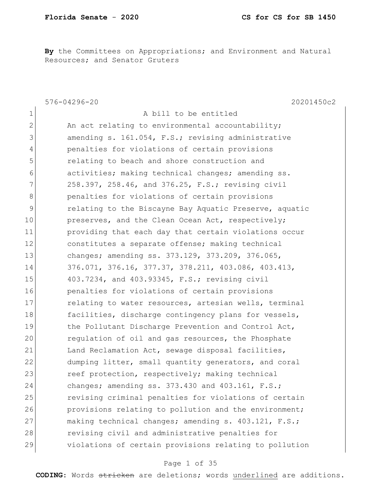**By** the Committees on Appropriations; and Environment and Natural Resources; and Senator Gruters

|                | 576-04296-20<br>20201450c2                              |
|----------------|---------------------------------------------------------|
| $\mathbf{1}$   | A bill to be entitled                                   |
| $\mathbf{2}$   | An act relating to environmental accountability;        |
| 3              | amending s. 161.054, F.S.; revising administrative      |
| $\overline{4}$ | penalties for violations of certain provisions          |
| 5              | relating to beach and shore construction and            |
| 6              | activities; making technical changes; amending ss.      |
| $7\phantom{.}$ | 258.397, 258.46, and 376.25, F.S.; revising civil       |
| 8              | penalties for violations of certain provisions          |
| 9              | relating to the Biscayne Bay Aquatic Preserve, aquatic  |
| 10             | preserves, and the Clean Ocean Act, respectively;       |
| 11             | providing that each day that certain violations occur   |
| 12             | constitutes a separate offense; making technical        |
| 13             | changes; amending ss. 373.129, 373.209, 376.065,        |
| 14             | $376.071, 376.16, 377.37, 378.211, 403.086, 403.413,$   |
| 15             | 403.7234, and 403.93345, F.S.; revising civil           |
| 16             | penalties for violations of certain provisions          |
| 17             | relating to water resources, artesian wells, terminal   |
| 18             | facilities, discharge contingency plans for vessels,    |
| 19             | the Pollutant Discharge Prevention and Control Act,     |
| 20             | regulation of oil and gas resources, the Phosphate      |
| 21             | Land Reclamation Act, sewage disposal facilities,       |
| 22             | dumping litter, small quantity generators, and coral    |
| 23             | reef protection, respectively; making technical         |
| 24             | changes; amending ss. $373.430$ and $403.161$ , $F.S.;$ |
| 25             | revising criminal penalties for violations of certain   |
| 26             | provisions relating to pollution and the environment;   |
| 27             | making technical changes; amending s. 403.121, F.S.;    |
| 28             | revising civil and administrative penalties for         |
| 29             | violations of certain provisions relating to pollution  |

# Page 1 of 35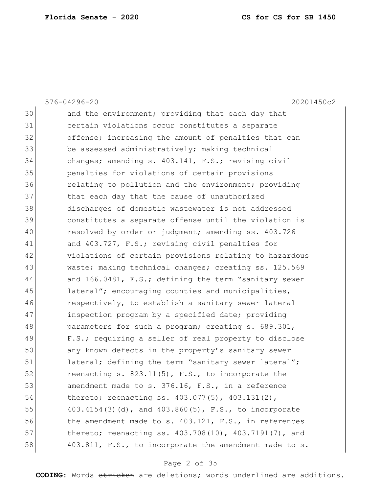|    | 20201450c2<br>576-04296-20                               |
|----|----------------------------------------------------------|
| 30 | and the environment; providing that each day that        |
| 31 | certain violations occur constitutes a separate          |
| 32 | offense; increasing the amount of penalties that can     |
| 33 | be assessed administratively; making technical           |
| 34 | changes; amending s. 403.141, F.S.; revising civil       |
| 35 | penalties for violations of certain provisions           |
| 36 | relating to pollution and the environment; providing     |
| 37 | that each day that the cause of unauthorized             |
| 38 | discharges of domestic wastewater is not addressed       |
| 39 | constitutes a separate offense until the violation is    |
| 40 | resolved by order or judgment; amending ss. 403.726      |
| 41 | and 403.727, F.S.; revising civil penalties for          |
| 42 | violations of certain provisions relating to hazardous   |
| 43 | waste; making technical changes; creating ss. 125.569    |
| 44 | and 166.0481, F.S.; defining the term "sanitary sewer    |
| 45 | lateral"; encouraging counties and municipalities,       |
| 46 | respectively, to establish a sanitary sewer lateral      |
| 47 | inspection program by a specified date; providing        |
| 48 | parameters for such a program; creating s. 689.301,      |
| 49 | F.S.; requiring a seller of real property to disclose    |
| 50 | any known defects in the property's sanitary sewer       |
| 51 | lateral; defining the term "sanitary sewer lateral";     |
| 52 | reenacting s. $823.11(5)$ , F.S., to incorporate the     |
| 53 | amendment made to s. 376.16, F.S., in a reference        |
| 54 | thereto; reenacting ss. 403.077(5), 403.131(2),          |
| 55 | 403.4154(3)(d), and 403.860(5), F.S., to incorporate     |
| 56 | the amendment made to s. $403.121$ , F.S., in references |
| 57 | thereto; reenacting ss. 403.708(10), 403.7191(7), and    |
| 58 | 403.811, F.S., to incorporate the amendment made to s.   |

# Page 2 of 35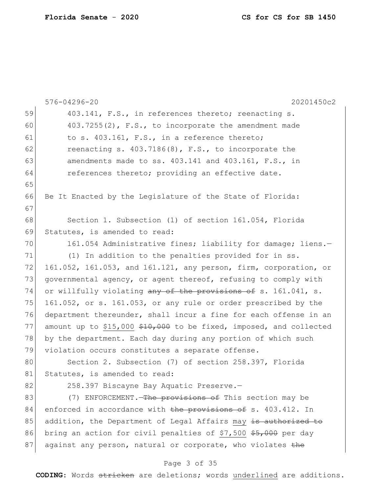|    | 576-04296-20<br>20201450c2                                         |
|----|--------------------------------------------------------------------|
| 59 | 403.141, F.S., in references thereto; reenacting s.                |
| 60 | $403.7255(2)$ , F.S., to incorporate the amendment made            |
| 61 | to s. 403.161, F.S., in a reference thereto;                       |
| 62 | reenacting s. $403.7186(8)$ , F.S., to incorporate the             |
| 63 | amendments made to ss. 403.141 and 403.161, F.S., in               |
| 64 | references thereto; providing an effective date.                   |
| 65 |                                                                    |
| 66 | Be It Enacted by the Legislature of the State of Florida:          |
| 67 |                                                                    |
| 68 | Section 1. Subsection (1) of section 161.054, Florida              |
| 69 | Statutes, is amended to read:                                      |
| 70 | 161.054 Administrative fines; liability for damage; liens.-        |
| 71 | (1) In addition to the penalties provided for in ss.               |
| 72 | 161.052, 161.053, and 161.121, any person, firm, corporation, or   |
| 73 | governmental agency, or agent thereof, refusing to comply with     |
| 74 | or willfully violating any of the provisions of s. 161.041, s.     |
| 75 | 161.052, or s. 161.053, or any rule or order prescribed by the     |
| 76 | department thereunder, shall incur a fine for each offense in an   |
| 77 | amount up to \$15,000 \$10,000 to be fixed, imposed, and collected |
| 78 | by the department. Each day during any portion of which such       |
| 79 | violation occurs constitutes a separate offense.                   |
| 80 | Section 2. Subsection (7) of section 258.397, Florida              |
| 81 | Statutes, is amended to read:                                      |
| 82 | 258.397 Biscayne Bay Aquatic Preserve.-                            |
| 83 | (7) ENFORCEMENT. The provisions of This section may be             |
| 84 | enforced in accordance with the provisions of s. 403.412. In       |
| 85 | addition, the Department of Legal Affairs may is authorized to     |
| 86 | bring an action for civil penalties of \$7,500 \$5,000 per day     |
| 87 | against any person, natural or corporate, who violates the         |
|    | Page 3 of 35                                                       |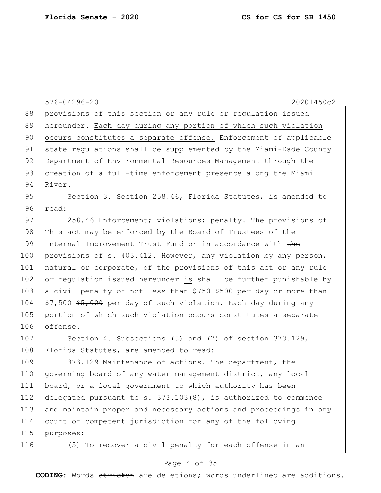|     | 576-04296-20<br>20201450c2                                        |  |  |  |  |  |  |  |  |  |
|-----|-------------------------------------------------------------------|--|--|--|--|--|--|--|--|--|
| 88  | provisions of this section or any rule or regulation issued       |  |  |  |  |  |  |  |  |  |
| 89  | hereunder. Each day during any portion of which such violation    |  |  |  |  |  |  |  |  |  |
| 90  | occurs constitutes a separate offense. Enforcement of applicable  |  |  |  |  |  |  |  |  |  |
| 91  | state regulations shall be supplemented by the Miami-Dade County  |  |  |  |  |  |  |  |  |  |
| 92  | Department of Environmental Resources Management through the      |  |  |  |  |  |  |  |  |  |
| 93  | creation of a full-time enforcement presence along the Miami      |  |  |  |  |  |  |  |  |  |
| 94  | River.                                                            |  |  |  |  |  |  |  |  |  |
| 95  | Section 3. Section 258.46, Florida Statutes, is amended to        |  |  |  |  |  |  |  |  |  |
| 96  | read:                                                             |  |  |  |  |  |  |  |  |  |
| 97  | 258.46 Enforcement; violations; penalty. The provisions of        |  |  |  |  |  |  |  |  |  |
| 98  | This act may be enforced by the Board of Trustees of the          |  |  |  |  |  |  |  |  |  |
| 99  | Internal Improvement Trust Fund or in accordance with the         |  |  |  |  |  |  |  |  |  |
| 100 | provisions of s. 403.412. However, any violation by any person,   |  |  |  |  |  |  |  |  |  |
| 101 | natural or corporate, of the provisions of this act or any rule   |  |  |  |  |  |  |  |  |  |
| 102 | or regulation issued hereunder is shall be further punishable by  |  |  |  |  |  |  |  |  |  |
| 103 | a civil penalty of not less than \$750 \$500 per day or more than |  |  |  |  |  |  |  |  |  |
| 104 | \$7,500 \$5,000 per day of such violation. Each day during any    |  |  |  |  |  |  |  |  |  |
| 105 | portion of which such violation occurs constitutes a separate     |  |  |  |  |  |  |  |  |  |
| 106 | offense.                                                          |  |  |  |  |  |  |  |  |  |
| 107 | Section 4. Subsections $(5)$ and $(7)$ of section 373.129,        |  |  |  |  |  |  |  |  |  |
| 108 | Florida Statutes, are amended to read:                            |  |  |  |  |  |  |  |  |  |
| 109 | 373.129 Maintenance of actions. The department, the               |  |  |  |  |  |  |  |  |  |
| 110 | governing board of any water management district, any local       |  |  |  |  |  |  |  |  |  |
| 111 | board, or a local government to which authority has been          |  |  |  |  |  |  |  |  |  |
| 112 | delegated pursuant to s. $373.103(8)$ , is authorized to commence |  |  |  |  |  |  |  |  |  |
| 113 | and maintain proper and necessary actions and proceedings in any  |  |  |  |  |  |  |  |  |  |
| 114 | court of competent jurisdiction for any of the following          |  |  |  |  |  |  |  |  |  |
| 115 | purposes:                                                         |  |  |  |  |  |  |  |  |  |
| 116 | (5) To recover a civil penalty for each offense in an             |  |  |  |  |  |  |  |  |  |

# Page 4 of 35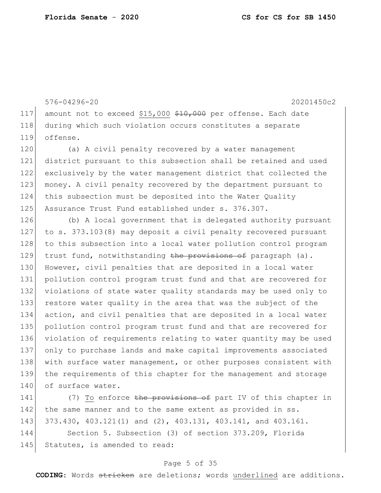576-04296-20 20201450c2 117 amount not to exceed \$15,000 \$10,000 per offense. Each date 118 during which such violation occurs constitutes a separate 119 offense. 120 (a) A civil penalty recovered by a water management 121 district pursuant to this subsection shall be retained and used 122 exclusively by the water management district that collected the 123 money. A civil penalty recovered by the department pursuant to 124 this subsection must be deposited into the Water Quality 125 Assurance Trust Fund established under s. 376.307. 126 (b) A local government that is delegated authority pursuant 127 to s. 373.103(8) may deposit a civil penalty recovered pursuant 128 to this subsection into a local water pollution control program 129 trust fund, notwithstanding the provisions of paragraph (a). 130 However, civil penalties that are deposited in a local water 131 pollution control program trust fund and that are recovered for 132 violations of state water quality standards may be used only to 133 restore water quality in the area that was the subject of the 134 action, and civil penalties that are deposited in a local water 135 pollution control program trust fund and that are recovered for 136 violation of requirements relating to water quantity may be used 137 only to purchase lands and make capital improvements associated 138 with surface water management, or other purposes consistent with 139 the requirements of this chapter for the management and storage

140 of surface water.

141 (7) To enforce the provisions of part IV of this chapter in 142 the same manner and to the same extent as provided in ss. 143 373.430, 403.121(1) and (2), 403.131, 403.141, and 403.161.

144 Section 5. Subsection (3) of section 373.209, Florida 145 Statutes, is amended to read:

## Page 5 of 35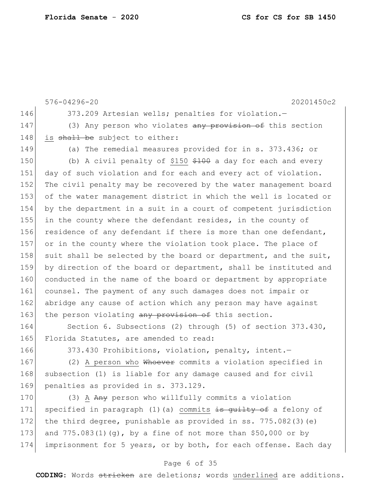576-04296-20 20201450c2 146 373.209 Artesian wells; penalties for violation.-147 (3) Any person who violates any provision of this section 148 is shall be subject to either: 149 (a) The remedial measures provided for in s. 373.436; or 150 (b) A civil penalty of \$150 \$100 a day for each and every 151 day of such violation and for each and every act of violation. 152 The civil penalty may be recovered by the water management board 153 of the water management district in which the well is located or 154 by the department in a suit in a court of competent jurisdiction 155 in the county where the defendant resides, in the county of 156 residence of any defendant if there is more than one defendant, 157 or in the county where the violation took place. The place of 158 suit shall be selected by the board or department, and the suit, 159 by direction of the board or department, shall be instituted and 160 conducted in the name of the board or department by appropriate 161 counsel. The payment of any such damages does not impair or 162 abridge any cause of action which any person may have against 163 the person violating any provision of this section. 164 Section 6. Subsections (2) through (5) of section 373.430,

165 Florida Statutes, are amended to read:

166 373.430 Prohibitions, violation, penalty, intent.

167 (2) A person who Whoever commits a violation specified in 168 subsection (1) is liable for any damage caused and for civil 169 penalties as provided in s. 373.129.

170 (3) A Any person who willfully commits a violation 171 specified in paragraph (1)(a) commits is quilty of a felony of 172 the third degree, punishable as provided in ss.  $775.082(3)(e)$ 173 and 775.083(1)(g), by a fine of not more than \$50,000 or by 174 imprisonment for 5 years, or by both, for each offense. Each day

# Page 6 of 35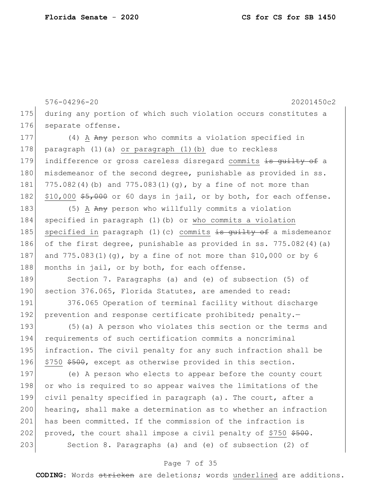576-04296-20 20201450c2 175 during any portion of which such violation occurs constitutes a 176 separate offense. 177 (4) A Any person who commits a violation specified in 178 paragraph (1)(a) or paragraph (1)(b) due to reckless 179 indifference or gross careless disregard commits is quilty of a 180 misdemeanor of the second degree, punishable as provided in ss. 181 775.082(4)(b) and 775.083(1)(g), by a fine of not more than 182  $\mid$  \$10,000 \$5,000 or 60 days in jail, or by both, for each offense. 183 (5) A Any person who willfully commits a violation 184 specified in paragraph (1)(b) or who commits a violation 185 specified in paragraph (1)(c) commits is guilty of a misdemeanor 186 of the first degree, punishable as provided in ss.  $775.082(4)(a)$ 187 and 775.083(1)(g), by a fine of not more than \$10,000 or by 6 188 months in jail, or by both, for each offense. 189 Section 7. Paragraphs (a) and (e) of subsection (5) of 190 section 376.065, Florida Statutes, are amended to read: 191 376.065 Operation of terminal facility without discharge 192 prevention and response certificate prohibited; penalty.-193 (5)(a) A person who violates this section or the terms and 194 requirements of such certification commits a noncriminal 195 infraction. The civil penalty for any such infraction shall be 196 \$750 \$500, except as otherwise provided in this section. 197 (e) A person who elects to appear before the county court 198 or who is required to so appear waives the limitations of the 199 civil penalty specified in paragraph (a). The court, after a

200 hearing, shall make a determination as to whether an infraction 201 has been committed. If the commission of the infraction is 202 proved, the court shall impose a civil penalty of \$750 \$500. 203 Section 8. Paragraphs (a) and (e) of subsection (2) of

# Page 7 of 35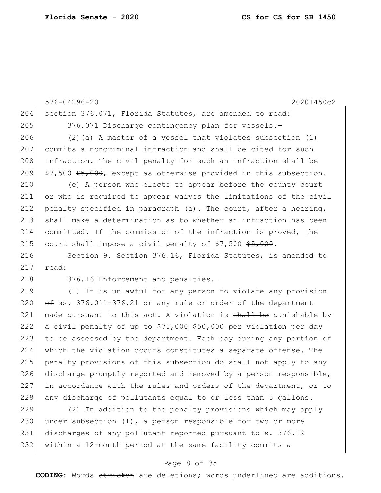576-04296-20 20201450c2 204 section 376.071, Florida Statutes, are amended to read: 205 376.071 Discharge contingency plan for vessels. 206  $(2)$  (a) A master of a vessel that violates subsection  $(1)$ 207 commits a noncriminal infraction and shall be cited for such 208 infraction. The civil penalty for such an infraction shall be 209  $\frac{57}{500}$  \$5,000, except as otherwise provided in this subsection. 210 (e) A person who elects to appear before the county court 211 or who is required to appear waives the limitations of the civil 212 penalty specified in paragraph (a). The court, after a hearing, 213 shall make a determination as to whether an infraction has been 214 committed. If the commission of the infraction is proved, the 215 court shall impose a civil penalty of  $$7,500$   $$5,000$ . 216 Section 9. Section 376.16, Florida Statutes, is amended to 217 read: 218 376.16 Enforcement and penalties.-219 (1) It is unlawful for any person to violate any provision 220  $\leftarrow$  ss. 376.011-376.21 or any rule or order of the department 221 made pursuant to this act. A violation is shall be punishable by 222 a civil penalty of up to \$75,000 \$50,000 per violation per day 223 to be assessed by the department. Each day during any portion of 224 which the violation occurs constitutes a separate offense. The 225 penalty provisions of this subsection do shall not apply to any 226 discharge promptly reported and removed by a person responsible, 227 in accordance with the rules and orders of the department, or to 228 any discharge of pollutants equal to or less than 5 gallons. 229 (2) In addition to the penalty provisions which may apply

230 under subsection  $(1)$ , a person responsible for two or more 231 discharges of any pollutant reported pursuant to s. 376.12 232 within a 12-month period at the same facility commits a

## Page 8 of 35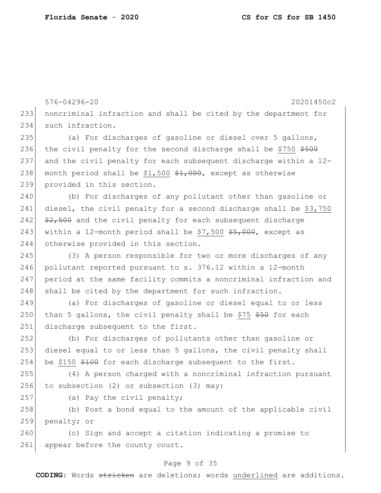576-04296-20 20201450c2 233 noncriminal infraction and shall be cited by the department for 234 such infraction. 235 (a) For discharges of gasoline or diesel over 5 gallons, 236 the civil penalty for the second discharge shall be \$750  $$500$ 237 and the civil penalty for each subsequent discharge within a 12- 238 month period shall be \$1,500  $\frac{1}{200}$ , except as otherwise 239 provided in this section. 240 (b) For discharges of any pollutant other than gasoline or 241 diesel, the civil penalty for a second discharge shall be \$3,750 242  $\frac{242}{100}$   $\frac{22}{100}$  and the civil penalty for each subsequent discharge 243 within a 12-month period shall be  $$7,500$   $$5,000$ , except as 244 otherwise provided in this section. 245 (3) A person responsible for two or more discharges of any 246 pollutant reported pursuant to  $s. 376.12$  within a 12-month 247 period at the same facility commits a noncriminal infraction and 248 shall be cited by the department for such infraction. 249 (a) For discharges of gasoline or diesel equal to or less 250 than 5 gallons, the civil penalty shall be \$75  $$50$  for each 251 discharge subsequent to the first. 252 (b) For discharges of pollutants other than gasoline or 253 diesel equal to or less than 5 gallons, the civil penalty shall 254 be \$150 \$100 for each discharge subsequent to the first. 255 (4) A person charged with a noncriminal infraction pursuant 256 to subsection (2) or subsection (3) may: 257 (a) Pay the civil penalty; 258 (b) Post a bond equal to the amount of the applicable civil 259 penalty; or 260 (c) Sign and accept a citation indicating a promise to

### Page 9 of 35

261 appear before the county court.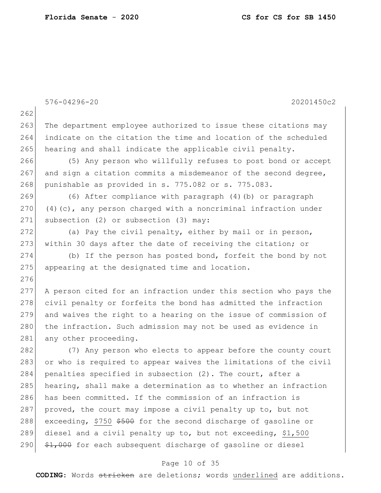|     | 576-04296-20<br>20201450c2                                        |
|-----|-------------------------------------------------------------------|
| 262 |                                                                   |
| 263 | The department employee authorized to issue these citations may   |
| 264 | indicate on the citation the time and location of the scheduled   |
| 265 | hearing and shall indicate the applicable civil penalty.          |
| 266 | (5) Any person who willfully refuses to post bond or accept       |
| 267 | and sign a citation commits a misdemeanor of the second degree,   |
| 268 | punishable as provided in s. 775.082 or s. 775.083.               |
| 269 | (6) After compliance with paragraph (4) (b) or paragraph          |
| 270 | $(4)$ (c), any person charged with a noncriminal infraction under |
| 271 | subsection (2) or subsection (3) may:                             |
| 272 | (a) Pay the civil penalty, either by mail or in person,           |
| 273 | within 30 days after the date of receiving the citation; or       |
| 274 | (b) If the person has posted bond, forfeit the bond by not        |
| 275 | appearing at the designated time and location.                    |
| 276 |                                                                   |
| 277 | A person cited for an infraction under this section who pays the  |
| 278 | civil penalty or forfeits the bond has admitted the infraction    |
| 279 | and waives the right to a hearing on the issue of commission of   |
| 280 | the infraction. Such admission may not be used as evidence in     |
| 281 | any other proceeding.                                             |
| 282 | (7) Any person who elects to appear before the county court       |
| 283 | or who is required to appear waives the limitations of the civil  |
| 284 | penalties specified in subsection (2). The court, after a         |
| 285 | hearing, shall make a determination as to whether an infraction   |
| 286 | has been committed. If the commission of an infraction is         |
| 287 | proved, the court may impose a civil penalty up to, but not       |
| 288 | exceeding, \$750 \$500 for the second discharge of gasoline or    |
| 289 | diesel and a civil penalty up to, but not exceeding, \$1,500      |
| 290 | \$1,000 for each subsequent discharge of gasoline or diesel       |

# Page 10 of 35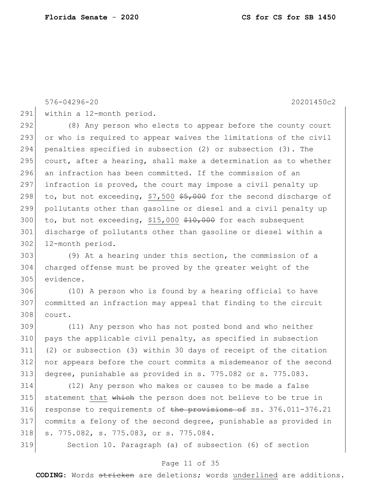576-04296-20 20201450c2

291 within a 12-month period.

 (8) Any person who elects to appear before the county court or who is required to appear waives the limitations of the civil penalties specified in subsection (2) or subsection (3). The 295 court, after a hearing, shall make a determination as to whether an infraction has been committed. If the commission of an 297 infraction is proved, the court may impose a civil penalty up 298 to, but not exceeding, \$7,500  $$5,000$  for the second discharge of pollutants other than gasoline or diesel and a civil penalty up 300 to, but not exceeding, \$15,000  $$10,000$  for each subsequent discharge of pollutants other than gasoline or diesel within a 302 12-month period.

 (9) At a hearing under this section, the commission of a charged offense must be proved by the greater weight of the evidence.

 (10) A person who is found by a hearing official to have committed an infraction may appeal that finding to the circuit court.

 (11) Any person who has not posted bond and who neither pays the applicable civil penalty, as specified in subsection (2) or subsection (3) within 30 days of receipt of the citation nor appears before the court commits a misdemeanor of the second degree, punishable as provided in s. 775.082 or s. 775.083.

 (12) Any person who makes or causes to be made a false 315 statement that which the person does not believe to be true in 316 response to requirements of the provisions of ss.  $376.011 - 376.21$  commits a felony of the second degree, punishable as provided in 318 s. 775.082, s. 775.083, or s. 775.084.

Section 10. Paragraph (a) of subsection (6) of section

## Page 11 of 35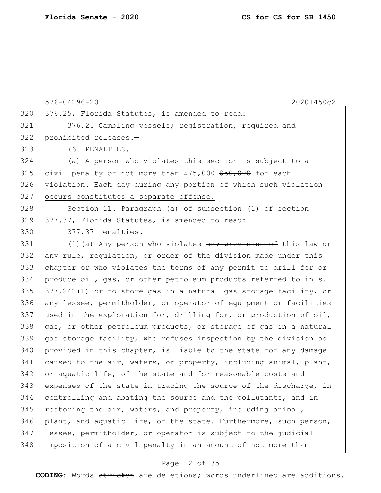576-04296-20 20201450c2 320 376.25, Florida Statutes, is amended to read: 321 376.25 Gambling vessels; registration; required and 322 prohibited releases.— 323 (6) PENALTIES.— 324 (a) A person who violates this section is subject to a 325 civil penalty of not more than  $$75,000$   $$50,000$  for each 326 violation. Each day during any portion of which such violation 327 occurs constitutes a separate offense. 328 Section 11. Paragraph (a) of subsection (1) of section 329 377.37, Florida Statutes, is amended to read: 330 377.37 Penalties.-331 (1)(a) Any person who violates any provision of this law or 332 any rule, regulation, or order of the division made under this 333 chapter or who violates the terms of any permit to drill for or 334 produce oil, gas, or other petroleum products referred to in s. 335  $377.242(1)$  or to store gas in a natural gas storage facility, or 336 any lessee, permitholder, or operator of equipment or facilities 337 used in the exploration for, drilling for, or production of oil, 338 gas, or other petroleum products, or storage of gas in a natural 339 gas storage facility, who refuses inspection by the division as  $340$  provided in this chapter, is liable to the state for any damage 341 caused to the air, waters, or property, including animal, plant, 342 or aquatic life, of the state and for reasonable costs and 343 expenses of the state in tracing the source of the discharge, in 344 controlling and abating the source and the pollutants, and in 345 restoring the air, waters, and property, including animal, 346 plant, and aquatic life, of the state. Furthermore, such person, 347 lessee, permitholder, or operator is subject to the judicial 348 imposition of a civil penalty in an amount of not more than

### Page 12 of 35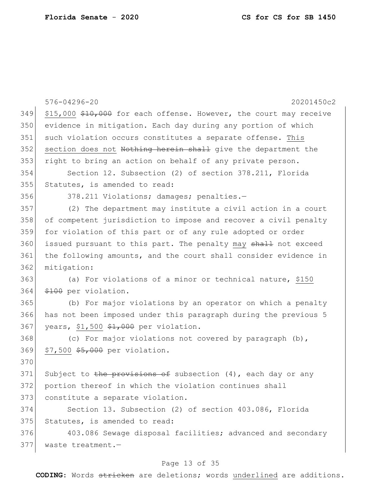|     | 576-04296-20<br>20201450c2                                         |
|-----|--------------------------------------------------------------------|
| 349 | \$15,000 \$10,000 for each offense. However, the court may receive |
| 350 | evidence in mitigation. Each day during any portion of which       |
| 351 | such violation occurs constitutes a separate offense. This         |
| 352 | section does not Nothing herein shall give the department the      |
| 353 | right to bring an action on behalf of any private person.          |
| 354 | Section 12. Subsection (2) of section 378.211, Florida             |
| 355 | Statutes, is amended to read:                                      |
| 356 | 378.211 Violations; damages; penalties.-                           |
| 357 | (2) The department may institute a civil action in a court         |
| 358 | of competent jurisdiction to impose and recover a civil penalty    |
| 359 | for violation of this part or of any rule adopted or order         |
| 360 | issued pursuant to this part. The penalty may shall not exceed     |
| 361 | the following amounts, and the court shall consider evidence in    |
| 362 | mitigation:                                                        |
| 363 | (a) For violations of a minor or technical nature, \$150           |
| 364 | \$100 per violation.                                               |
| 365 | (b) For major violations by an operator on which a penalty         |
| 366 | has not been imposed under this paragraph during the previous 5    |
| 367 | years, \$1,500 \$1,000 per violation.                              |
| 368 | (c) For major violations not covered by paragraph (b),             |
| 369 | \$7,500 \$5,000 per violation.                                     |
| 370 |                                                                    |
| 371 | Subject to the provisions of subsection $(4)$ , each day or any    |
| 372 | portion thereof in which the violation continues shall             |
| 373 | constitute a separate violation.                                   |
| 374 | Section 13. Subsection (2) of section 403.086, Florida             |
| 375 | Statutes, is amended to read:                                      |
| 376 | 403.086 Sewage disposal facilities; advanced and secondary         |
| 377 | waste treatment.-                                                  |

# Page 13 of 35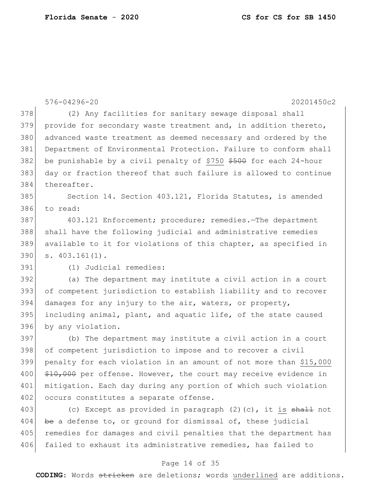|     | 576-04296-20<br>20201450c2                                        |
|-----|-------------------------------------------------------------------|
| 378 | (2) Any facilities for sanitary sewage disposal shall             |
| 379 | provide for secondary waste treatment and, in addition thereto,   |
| 380 | advanced waste treatment as deemed necessary and ordered by the   |
| 381 | Department of Environmental Protection. Failure to conform shall  |
| 382 | be punishable by a civil penalty of \$750 \$500 for each 24-hour  |
| 383 | day or fraction thereof that such failure is allowed to continue  |
| 384 | thereafter.                                                       |
| 385 | Section 14. Section 403.121, Florida Statutes, is amended         |
| 386 | to read:                                                          |
| 387 | 403.121 Enforcement; procedure; remedies.-The department          |
| 388 | shall have the following judicial and administrative remedies     |
| 389 | available to it for violations of this chapter, as specified in   |
| 390 | $s. 403.161(1)$ .                                                 |
| 391 | (1) Judicial remedies:                                            |
| 392 | (a) The department may institute a civil action in a court        |
| 393 | of competent jurisdiction to establish liability and to recover   |
| 394 | damages for any injury to the air, waters, or property,           |
| 395 | including animal, plant, and aquatic life, of the state caused    |
| 396 | by any violation.                                                 |
| 397 | (b) The department may institute a civil action in a court        |
| 398 | of competent jurisdiction to impose and to recover a civil        |
| 399 | penalty for each violation in an amount of not more than \$15,000 |
| 400 | \$10,000 per offense. However, the court may receive evidence in  |
| 401 | mitigation. Each day during any portion of which such violation   |
| 402 | occurs constitutes a separate offense.                            |
| 403 | (c) Except as provided in paragraph $(2)$ (c), it is shall not    |
| 404 | be a defense to, or ground for dismissal of, these judicial       |
| 405 | remedies for damages and civil penalties that the department has  |
| 406 | failed to exhaust its administrative remedies, has failed to      |

# Page 14 of 35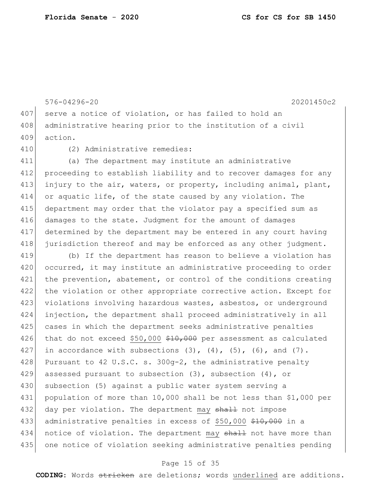407 serve a notice of violation, or has failed to hold an 408 administrative hearing prior to the institution of a civil 409 action. 410 (2) Administrative remedies: 411 (a) The department may institute an administrative 412 proceeding to establish liability and to recover damages for any 413 injury to the air, waters, or property, including animal, plant, 414 or aquatic life, of the state caused by any violation. The 415 department may order that the violator pay a specified sum as 416 damages to the state. Judgment for the amount of damages 417 determined by the department may be entered in any court having 418 jurisdiction thereof and may be enforced as any other judgment. 419 (b) If the department has reason to believe a violation has 420 occurred, it may institute an administrative proceeding to order 421 the prevention, abatement, or control of the conditions creating 422 the violation or other appropriate corrective action. Except for 423 violations involving hazardous wastes, asbestos, or underground 424 injection, the department shall proceed administratively in all 425 cases in which the department seeks administrative penalties 426 that do not exceed  $$50,000$   $$10,000$  per assessment as calculated 427 in accordance with subsections  $(3)$ ,  $(4)$ ,  $(5)$ ,  $(6)$ , and  $(7)$ . 428 Pursuant to 42 U.S.C. s.  $300g-2$ , the administrative penalty 429 assessed pursuant to subsection (3), subsection (4), or 430 subsection (5) against a public water system serving a 431 population of more than 10,000 shall be not less than \$1,000 per 432 day per violation. The department may shall not impose 433 administrative penalties in excess of \$50,000 \$10,000 in a 434 notice of violation. The department may shall not have more than 435 one notice of violation seeking administrative penalties pending

576-04296-20 20201450c2

### Page 15 of 35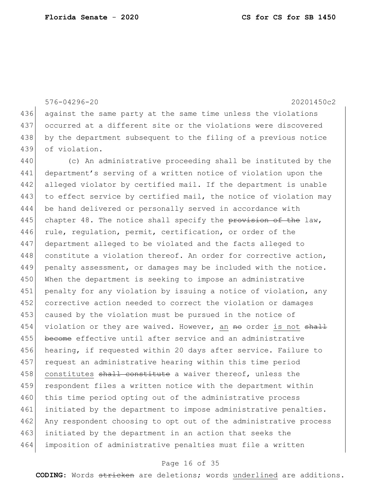576-04296-20 20201450c2 436 against the same party at the same time unless the violations 437 occurred at a different site or the violations were discovered 438 by the department subsequent to the filing of a previous notice 439 of violation. 440 (c) An administrative proceeding shall be instituted by the 441 department's serving of a written notice of violation upon the 442 alleged violator by certified mail. If the department is unable 443 to effect service by certified mail, the notice of violation may 444 be hand delivered or personally served in accordance with 445 chapter 48. The notice shall specify the provision of the law, 446 rule, regulation, permit, certification, or order of the 447 department alleged to be violated and the facts alleged to 448 constitute a violation thereof. An order for corrective action, 449 penalty assessment, or damages may be included with the notice. 450 When the department is seeking to impose an administrative 451 penalty for any violation by issuing a notice of violation, any 452 corrective action needed to correct the violation or damages 453 caused by the violation must be pursued in the notice of 454 violation or they are waived. However, an no order is not shall 455 become effective until after service and an administrative 456 hearing, if requested within 20 days after service. Failure to 457 request an administrative hearing within this time period 458 constitutes shall constitute a waiver thereof, unless the 459 respondent files a written notice with the department within 460 this time period opting out of the administrative process 461 initiated by the department to impose administrative penalties. 462 Any respondent choosing to opt out of the administrative process 463 initiated by the department in an action that seeks the 464 imposition of administrative penalties must file a written

### Page 16 of 35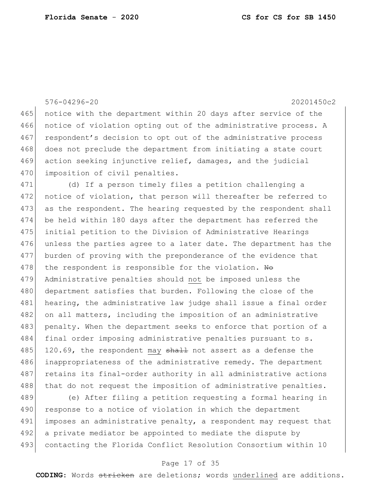576-04296-20 20201450c2 465 notice with the department within 20 days after service of the 466 notice of violation opting out of the administrative process. A 467 respondent's decision to opt out of the administrative process 468 does not preclude the department from initiating a state court 469 action seeking injunctive relief, damages, and the judicial 470 imposition of civil penalties. 471 (d) If a person timely files a petition challenging a 472 notice of violation, that person will thereafter be referred to 473 as the respondent. The hearing requested by the respondent shall 474 be held within 180 days after the department has referred the 475 initial petition to the Division of Administrative Hearings 476 unless the parties agree to a later date. The department has the 477 burden of proving with the preponderance of the evidence that 478 the respondent is responsible for the violation.  $H\Theta$ 479 Administrative penalties should not be imposed unless the

480 department satisfies that burden. Following the close of the 481 hearing, the administrative law judge shall issue a final order 482 on all matters, including the imposition of an administrative 483 penalty. When the department seeks to enforce that portion of a 484 final order imposing administrative penalties pursuant to s. 485 120.69, the respondent may  $\frac{1}{2}$  and assert as a defense the 486 inappropriateness of the administrative remedy. The department 487 retains its final-order authority in all administrative actions 488 that do not request the imposition of administrative penalties.

489 (e) After filing a petition requesting a formal hearing in 490 response to a notice of violation in which the department 491 imposes an administrative penalty, a respondent may request that 492 a private mediator be appointed to mediate the dispute by 493 contacting the Florida Conflict Resolution Consortium within 10

## Page 17 of 35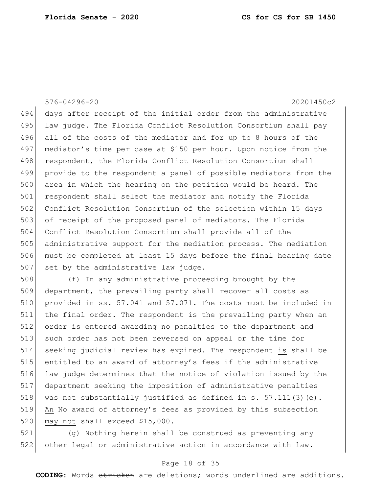# 576-04296-20 20201450c2

494 days after receipt of the initial order from the administrative 495 law judge. The Florida Conflict Resolution Consortium shall pay 496 all of the costs of the mediator and for up to 8 hours of the 497 mediator's time per case at \$150 per hour. Upon notice from the 498 respondent, the Florida Conflict Resolution Consortium shall 499 provide to the respondent a panel of possible mediators from the 500 area in which the hearing on the petition would be heard. The 501 respondent shall select the mediator and notify the Florida 502 Conflict Resolution Consortium of the selection within 15 days 503 of receipt of the proposed panel of mediators. The Florida 504 Conflict Resolution Consortium shall provide all of the 505 administrative support for the mediation process. The mediation 506 must be completed at least 15 days before the final hearing date 507 set by the administrative law judge.

 (f) In any administrative proceeding brought by the 509 department, the prevailing party shall recover all costs as provided in ss. 57.041 and 57.071. The costs must be included in 511 the final order. The respondent is the prevailing party when an order is entered awarding no penalties to the department and such order has not been reversed on appeal or the time for 514 seeking judicial review has expired. The respondent is shall be entitled to an award of attorney's fees if the administrative law judge determines that the notice of violation issued by the department seeking the imposition of administrative penalties 518 was not substantially justified as defined in s. 57.111(3)(e). 519 An No award of attorney's fees as provided by this subsection may not  $shall$  exceed \$15,000.

521 (g) Nothing herein shall be construed as preventing any 522 other legal or administrative action in accordance with law.

## Page 18 of 35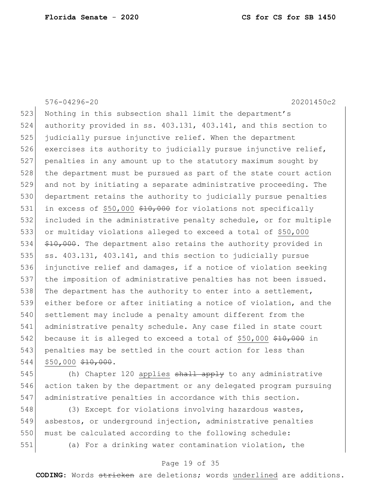576-04296-20 20201450c2 523 Nothing in this subsection shall limit the department's authority provided in ss. 403.131, 403.141, and this section to judicially pursue injunctive relief. When the department 526 exercises its authority to judicially pursue injunctive relief, penalties in any amount up to the statutory maximum sought by 528 the department must be pursued as part of the state court action and not by initiating a separate administrative proceeding. The department retains the authority to judicially pursue penalties 531 in excess of \$50,000  $*10,000$  for violations not specifically included in the administrative penalty schedule, or for multiple or multiday violations alleged to exceed a total of \$50,000  $\leftarrow$   $\leftarrow$   $\leftarrow$   $\leftarrow$   $\leftarrow$   $\leftarrow$   $\leftarrow$   $\leftarrow$   $\leftarrow$   $\leftarrow$   $\leftarrow$   $\leftarrow$   $\leftarrow$   $\leftarrow$   $\leftarrow$   $\leftarrow$   $\leftarrow$   $\leftarrow$   $\leftarrow$   $\leftarrow$   $\leftarrow$   $\leftarrow$   $\leftarrow$   $\leftarrow$   $\leftarrow$   $\leftarrow$   $\leftarrow$   $\leftarrow$   $\leftarrow$   $\leftarrow$   $\leftarrow$   $\leftarrow$   $\leftarrow$   $\leftarrow$   $\leftarrow$   $\leftarrow$ 535 ss. 403.131, 403.141, and this section to judicially pursue injunctive relief and damages, if a notice of violation seeking the imposition of administrative penalties has not been issued. 538 The department has the authority to enter into a settlement, either before or after initiating a notice of violation, and the settlement may include a penalty amount different from the administrative penalty schedule. Any case filed in state court 542 because it is alleged to exceed a total of \$50,000 \$10,000 in 543 penalties may be settled in the court action for less than \$50,000 \$10,000.

545  $\vert$  (h) Chapter 120 applies shall apply to any administrative 546 action taken by the department or any delegated program pursuing 547 administrative penalties in accordance with this section.

548 (3) Except for violations involving hazardous wastes, 549 asbestos, or underground injection, administrative penalties 550 must be calculated according to the following schedule: 551 (a) For a drinking water contamination violation, the

### Page 19 of 35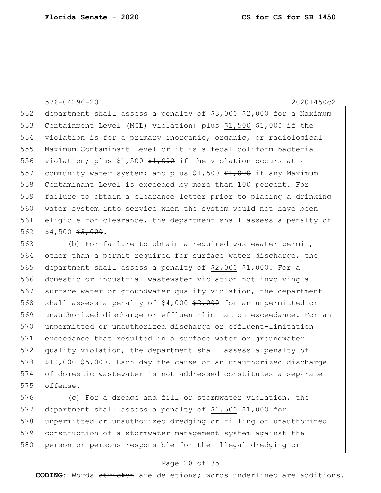576-04296-20 20201450c2

552 department shall assess a penalty of \$3,000  $\frac{2}{7}000$  for a Maximum 553 Containment Level (MCL) violation; plus \$1,500 \$1,000 if the violation is for a primary inorganic, organic, or radiological Maximum Contaminant Level or it is a fecal coliform bacteria 556 violation; plus \$1,500  $$1,000$  if the violation occurs at a 557 community water system; and plus  $$1,500$   $$1,000$  if any Maximum Contaminant Level is exceeded by more than 100 percent. For failure to obtain a clearance letter prior to placing a drinking water system into service when the system would not have been eligible for clearance, the department shall assess a penalty of \$4,500 \$3,000.

563 (b) For failure to obtain a required wastewater permit, 564 other than a permit required for surface water discharge, the 565 department shall assess a penalty of \$2,000  $*1,000$ . For a 566 domestic or industrial wastewater violation not involving a 567 surface water or groundwater quality violation, the department 568 shall assess a penalty of  $$4,000$   $$2,000$  for an unpermitted or 569 unauthorized discharge or effluent-limitation exceedance. For an 570 unpermitted or unauthorized discharge or effluent-limitation 571 exceedance that resulted in a surface water or groundwater 572 quality violation, the department shall assess a penalty of 573 \$10,000 \$5,000. Each day the cause of an unauthorized discharge 574 of domestic wastewater is not addressed constitutes a separate 575 offense.

576 (c) For a dredge and fill or stormwater violation, the 577 department shall assess a penalty of \$1,500  $\frac{1}{2}$ ,000 for 578 unpermitted or unauthorized dredging or filling or unauthorized 579 construction of a stormwater management system against the 580 person or persons responsible for the illegal dredging or

### Page 20 of 35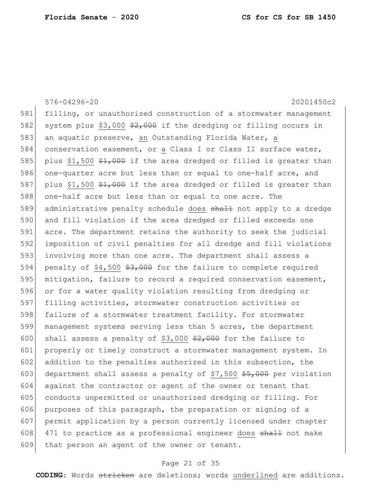576-04296-20 20201450c2 581 filling, or unauthorized construction of a stormwater management 582 system plus \$3,000  $\frac{2}{7}000$  if the dredging or filling occurs in 583 an aquatic preserve, an Outstanding Florida Water, a 584 conservation easement, or a Class I or Class II surface water, 585 plus \$1,500  $\frac{21}{1000}$  if the area dredged or filled is greater than 586 one-quarter acre but less than or equal to one-half acre, and 587 plus \$1,500  $\frac{21,000}{1}$  if the area dredged or filled is greater than 588 one-half acre but less than or equal to one acre. The 589 administrative penalty schedule does shall not apply to a dredge 590 and fill violation if the area dredged or filled exceeds one 591 acre. The department retains the authority to seek the judicial 592 imposition of civil penalties for all dredge and fill violations 593 involving more than one acre. The department shall assess a 594 penalty of  $$4,500$   $$3,000$  for the failure to complete required 595 mitigation, failure to record a required conservation easement, 596 or for a water quality violation resulting from dredging or 597 filling activities, stormwater construction activities or 598 failure of a stormwater treatment facility. For stormwater 599 management systems serving less than 5 acres, the department 600 shall assess a penalty of \$3,000  $\frac{2}{7}000$  for the failure to 601 properly or timely construct a stormwater management system. In 602 addition to the penalties authorized in this subsection, the 603 department shall assess a penalty of \$7,500  $$5,000$  per violation 604 against the contractor or agent of the owner or tenant that 605 conducts unpermitted or unauthorized dredging or filling. For 606 purposes of this paragraph, the preparation or signing of a 607 permit application by a person currently licensed under chapter 608 471 to practice as a professional engineer does shall not make 609 that person an agent of the owner or tenant.

### Page 21 of 35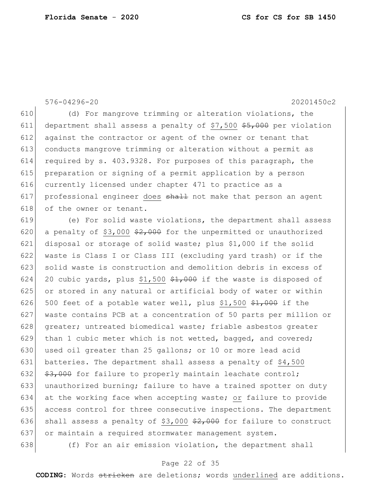576-04296-20 20201450c2

 (d) For mangrove trimming or alteration violations, the 611 department shall assess a penalty of \$7,500  $$5,000$  per violation against the contractor or agent of the owner or tenant that conducts mangrove trimming or alteration without a permit as required by s. 403.9328. For purposes of this paragraph, the preparation or signing of a permit application by a person currently licensed under chapter 471 to practice as a 617 professional engineer does shall not make that person an agent 618 of the owner or tenant.

619 (e) For solid waste violations, the department shall assess 620 a penalty of \$3,000  $\frac{2}{7}000$  for the unpermitted or unauthorized 621 disposal or storage of solid waste; plus \$1,000 if the solid 622 waste is Class I or Class III (excluding yard trash) or if the 623 solid waste is construction and demolition debris in excess of 624 20 cubic yards, plus \$1,500  $\frac{1}{2}$ ,000 if the waste is disposed of 625 or stored in any natural or artificial body of water or within 626 500 feet of a potable water well, plus \$1,500  $\frac{1}{2000}$  if the 627 | waste contains PCB at a concentration of 50 parts per million or 628 greater; untreated biomedical waste; friable asbestos greater 629 than 1 cubic meter which is not wetted, bagged, and covered; 630 used oil greater than 25 gallons; or 10 or more lead acid 631 batteries. The department shall assess a penalty of \$4,500 632  $\frac{1}{2}$ ,  $\frac{1}{2}$ ,  $\frac{1}{2}$  for failure to properly maintain leachate control; 633 unauthorized burning; failure to have a trained spotter on duty 634 at the working face when accepting waste; or failure to provide 635 access control for three consecutive inspections. The department 636 shall assess a penalty of \$3,000  $\frac{2}{7000}$  for failure to construct 637 or maintain a required stormwater management system.

 $638$  (f) For an air emission violation, the department shall

## Page 22 of 35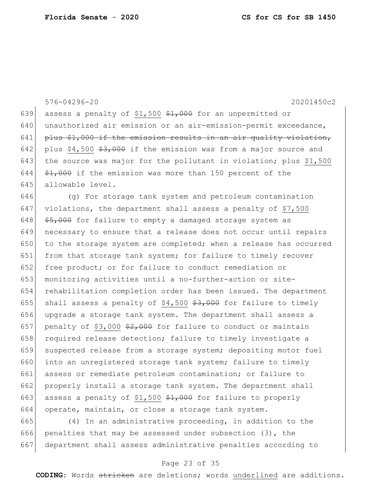576-04296-20 20201450c2

639 assess a penalty of \$1,500  $\frac{1}{2}$ , 000 for an unpermitted or 640 unauthorized air emission or an air-emission-permit exceedance, 641 plus \$1,000 if the emission results in an air quality violation, 642 plus  $$4,500$   $$3,000$  if the emission was from a major source and 643 the source was major for the pollutant in violation; plus \$1,500 644  $\leftarrow$   $\leftarrow$   $\leftarrow$   $\leftarrow$   $\leftarrow$   $\leftarrow$   $\leftarrow$   $\leftarrow$   $\leftarrow$   $\leftarrow$   $\leftarrow$   $\leftarrow$   $\leftarrow$   $\leftarrow$   $\leftarrow$   $\leftarrow$   $\leftarrow$   $\leftarrow$   $\leftarrow$   $\leftarrow$   $\leftarrow$   $\leftarrow$   $\leftarrow$   $\leftarrow$   $\leftarrow$   $\leftarrow$   $\leftarrow$   $\leftarrow$   $\leftarrow$   $\leftarrow$   $\leftarrow$   $\leftarrow$   $\leftarrow$   $\leftarrow$   $\leftarrow$   $\leftarrow$  645 allowable level.

646 (g) For storage tank system and petroleum contamination 647 violations, the department shall assess a penalty of  $$7,500$  $648$   $$5,000$  for failure to empty a damaged storage system as 649 necessary to ensure that a release does not occur until repairs  $650$  to the storage system are completed; when a release has occurred 651 from that storage tank system; for failure to timely recover 652 free product; or for failure to conduct remediation or 653 monitoring activities until a no-further-action or site-654 rehabilitation completion order has been issued. The department 655 shall assess a penalty of  $$4,500$   $$3,000$  for failure to timely 656 upgrade a storage tank system. The department shall assess a 657 penalty of \$3,000  $\frac{2}{7}000$  for failure to conduct or maintain 658 required release detection; failure to timely investigate a 659 suspected release from a storage system; depositing motor fuel 660 into an unregistered storage tank system; failure to timely 661 assess or remediate petroleum contamination; or failure to 662 properly install a storage tank system. The department shall 663 assess a penalty of \$1,500  $*1,000$  for failure to properly 664 operate, maintain, or close a storage tank system.

665 (4) In an administrative proceeding, in addition to the 666 penalties that may be assessed under subsection (3), the 667 department shall assess administrative penalties according to

### Page 23 of 35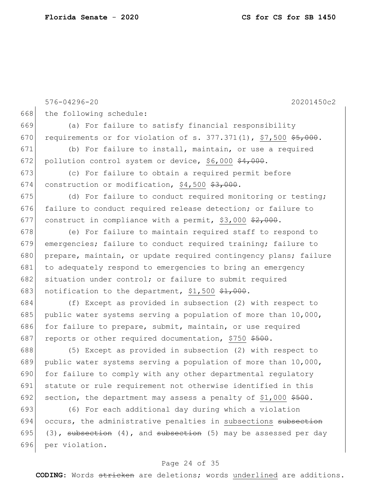```
576-04296-20 20201450c2
668 the following schedule:
669 (a) For failure to satisfy financial responsibility 
670 requirements or for violation of s. 377.371(1), $7,500 \frac{25,000}{7}.
671 (b) For failure to install, maintain, or use a required 
672 pollution control system or device, $6,000 \frac{24}{1000}.
673 (c) For failure to obtain a required permit before 
674 construction or modification, $4,500 $3,000.
675 (d) For failure to conduct required monitoring or testing;
676 failure to conduct required release detection; or failure to 
677 construct in compliance with a permit, $3,000 \frac{2}{7}, 000.
678 (e) For failure to maintain required staff to respond to
679 emergencies; failure to conduct required training; failure to 
680 prepare, maintain, or update required contingency plans; failure
681 to adequately respond to emergencies to bring an emergency
682 situation under control; or failure to submit required
683 notification to the department, $1,500 \frac{1}{2}, 000.
684 (f) Except as provided in subsection (2) with respect to 
685 public water systems serving a population of more than 10,000,
686 for failure to prepare, submit, maintain, or use required
687 reports or other required documentation, $750 $500.
688 (5) Except as provided in subsection (2) with respect to 
689 public water systems serving a population of more than 10,000, 
690 for failure to comply with any other departmental requlatory
691 statute or rule requirement not otherwise identified in this 
692 section, the department may assess a penalty of $1,000 $500.
693 (6) For each additional day during which a violation 
694 occurs, the administrative penalties in subsections subsection
695 (3), subsection (4), and subsection (5) may be assessed per day
696 per violation.
```
# Page 24 of 35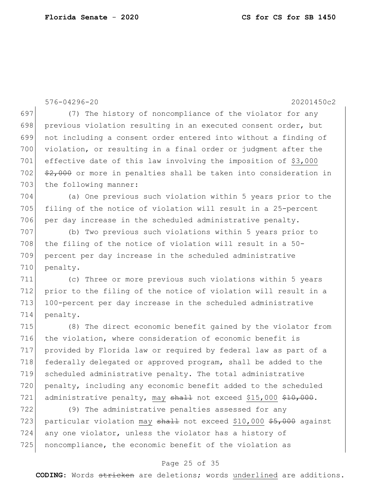576-04296-20 20201450c2 697 (7) The history of noncompliance of the violator for any 698 previous violation resulting in an executed consent order, but 699 not including a consent order entered into without a finding of 700 violation, or resulting in a final order or judgment after the 701 effective date of this law involving the imposition of \$3,000 702  $\frac{2}{702}$   $\frac{2}{7000}$  or more in penalties shall be taken into consideration in 703 the following manner: 704 (a) One previous such violation within 5 years prior to the 705 filing of the notice of violation will result in a 25-percent 706 per day increase in the scheduled administrative penalty. 707 (b) Two previous such violations within 5 years prior to 708 the filing of the notice of violation will result in a 50-709 percent per day increase in the scheduled administrative 710 penalty. 711 (c) Three or more previous such violations within 5 years 712 prior to the filing of the notice of violation will result in a 713 100-percent per day increase in the scheduled administrative 714 penalty. 715 (8) The direct economic benefit gained by the violator from 716 the violation, where consideration of economic benefit is 717 provided by Florida law or required by federal law as part of a 718 federally delegated or approved program, shall be added to the 719 scheduled administrative penalty. The total administrative 720 penalty, including any economic benefit added to the scheduled 721 administrative penalty, may shall not exceed \$15,000 \$10,000. 722 (9) The administrative penalties assessed for any 723 particular violation may  $shath$  not exceed \$10,000 \$5,000 against 724 any one violator, unless the violator has a history of 725 noncompliance, the economic benefit of the violation as

### Page 25 of 35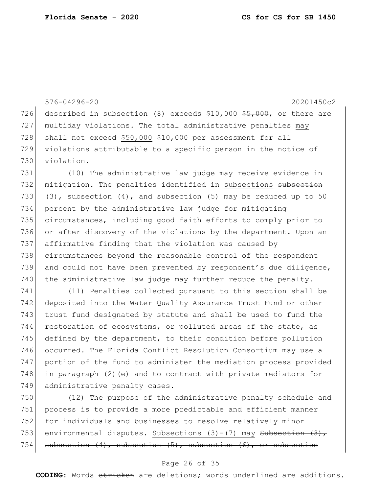576-04296-20 20201450c2 726 described in subsection (8) exceeds \$10,000  $$5,000$ , or there are 727 multiday violations. The total administrative penalties may 728  $\sigma$  shall not exceed \$50,000 \$10,000 per assessment for all 729 violations attributable to a specific person in the notice of 730 violation. 731 (10) The administrative law judge may receive evidence in 732 mitigation. The penalties identified in subsections subsection 733 (3), subsection (4), and subsection (5) may be reduced up to 50 734 percent by the administrative law judge for mitigating 735 circumstances, including good faith efforts to comply prior to

 or after discovery of the violations by the department. Upon an affirmative finding that the violation was caused by circumstances beyond the reasonable control of the respondent and could not have been prevented by respondent's due diligence, the administrative law judge may further reduce the penalty.

741 (11) Penalties collected pursuant to this section shall be 742 deposited into the Water Quality Assurance Trust Fund or other 743 trust fund designated by statute and shall be used to fund the 744 restoration of ecosystems, or polluted areas of the state, as 745 defined by the department, to their condition before pollution 746 occurred. The Florida Conflict Resolution Consortium may use a 747 portion of the fund to administer the mediation process provided 748 in paragraph  $(2)$  (e) and to contract with private mediators for 749 administrative penalty cases.

750 (12) The purpose of the administrative penalty schedule and 751 process is to provide a more predictable and efficient manner 752 for individuals and businesses to resolve relatively minor 753 environmental disputes. Subsections  $(3) - (7)$  may Subsection  $(3)$ , 754 subsection  $(4)$ , subsection  $(5)$ , subsection  $(6)$ , or subsection

# Page 26 of 35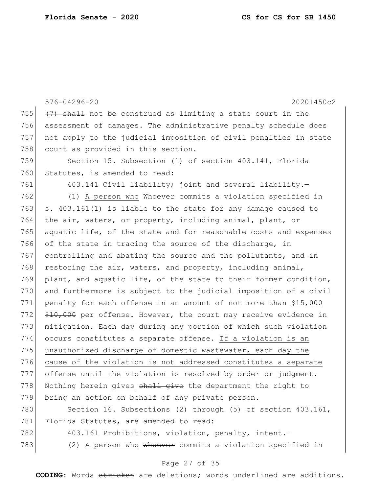|     | 576-04296-20<br>20201450c2                                       |
|-----|------------------------------------------------------------------|
| 755 | (7) shall not be construed as limiting a state court in the      |
| 756 | assessment of damages. The administrative penalty schedule does  |
| 757 | not apply to the judicial imposition of civil penalties in state |
| 758 | court as provided in this section.                               |
| 759 | Section 15. Subsection (1) of section 403.141, Florida           |
| 760 | Statutes, is amended to read:                                    |
| 761 | 403.141 Civil liability; joint and several liability.-           |
| 762 | (1) A person who Whoever commits a violation specified in        |
| 763 | s. 403.161(1) is liable to the state for any damage caused to    |
| 764 | the air, waters, or property, including animal, plant, or        |
| 765 | aquatic life, of the state and for reasonable costs and expenses |
| 766 | of the state in tracing the source of the discharge, in          |
| 767 | controlling and abating the source and the pollutants, and in    |
| 768 | restoring the air, waters, and property, including animal,       |
| 769 | plant, and aquatic life, of the state to their former condition, |
| 770 | and furthermore is subject to the judicial imposition of a civil |
| 771 | penalty for each offense in an amount of not more than \$15,000  |
| 772 | \$10,000 per offense. However, the court may receive evidence in |
| 773 | mitigation. Each day during any portion of which such violation  |
| 774 | occurs constitutes a separate offense. If a violation is an      |
| 775 | unauthorized discharge of domestic wastewater, each day the      |
| 776 | cause of the violation is not addressed constitutes a separate   |
| 777 | offense until the violation is resolved by order or judgment.    |
| 778 | Nothing herein gives shall give the department the right to      |
| 779 | bring an action on behalf of any private person.                 |
| 780 | Section 16. Subsections (2) through (5) of section 403.161,      |
| 781 | Florida Statutes, are amended to read:                           |
| 782 | 403.161 Prohibitions, violation, penalty, intent.-               |
| 783 | (2) A person who Whoever commits a violation specified in        |

# Page 27 of 35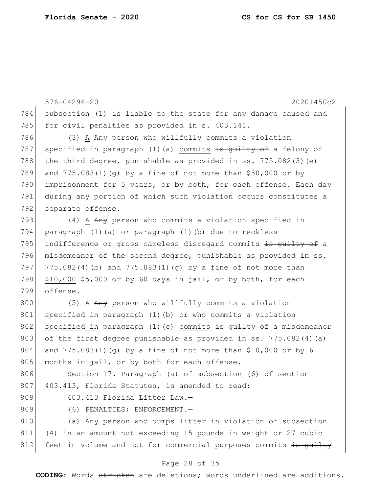576-04296-20 20201450c2 784 subsection (1) is liable to the state for any damage caused and 785 for civil penalties as provided in s. 403.141. 786 (3) A Any person who willfully commits a violation 787 specified in paragraph (1)(a) commits is guilty of a felony of 788 the third degree, punishable as provided in ss.  $775.082(3)(e)$ 789 and 775.083(1)(q) by a fine of not more than  $$50,000$  or by 790 imprisonment for 5 years, or by both, for each offense. Each day 791 during any portion of which such violation occurs constitutes a 792 separate offense. 793 (4) A Any person who commits a violation specified in 794 paragraph (1)(a) or paragraph (1)(b) due to reckless 795 indifference or gross careless disregard commits is quilty of a 796 misdemeanor of the second degree, punishable as provided in ss.

797 775.082(4)(b) and 775.083(1)(q) by a fine of not more than 798  $\mid$  \$10,000 \$5,000 or by 60 days in jail, or by both, for each 799 offense.

800 (5) A Any person who willfully commits a violation 801 specified in paragraph (1)(b) or who commits a violation 802 specified in paragraph (1)(c) commits is guilty of a misdemeanor 803 of the first degree punishable as provided in ss. 775.082(4)(a) 804 and 775.083(1)(q) by a fine of not more than \$10,000 or by 6 805 months in jail, or by both for each offense.

806 Section 17. Paragraph (a) of subsection (6) of section 807 403.413, Florida Statutes, is amended to read:

- 
- 

808 403.413 Florida Litter Law.-

809 (6) PENALTIES; ENFORCEMENT.

810 (a) Any person who dumps litter in violation of subsection 811 (4) in an amount not exceeding 15 pounds in weight or 27 cubic 812 feet in volume and not for commercial purposes commits is quilty

### Page 28 of 35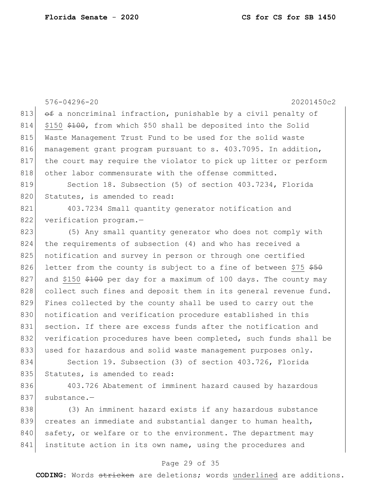576-04296-20 20201450c2 813  $\theta$  a noncriminal infraction, punishable by a civil penalty of 814 \$150 \$100, from which \$50 shall be deposited into the Solid 815 Waste Management Trust Fund to be used for the solid waste 816 | management grant program pursuant to s. 403.7095. In addition, 817 the court may require the violator to pick up litter or perform 818 other labor commensurate with the offense committed. 819 Section 18. Subsection (5) of section 403.7234, Florida 820 Statutes, is amended to read: 821 403.7234 Small quantity generator notification and 822 verification program.-823 (5) Any small quantity generator who does not comply with 824 the requirements of subsection (4) and who has received a 825 notification and survey in person or through one certified 826 letter from the county is subject to a fine of between  $$75$   $$50$ 827 and \$150  $$400$  per day for a maximum of 100 days. The county may 828 collect such fines and deposit them in its general revenue fund. 829 Fines collected by the county shall be used to carry out the 830 notification and verification procedure established in this 831 section. If there are excess funds after the notification and 832 verification procedures have been completed, such funds shall be 833 used for hazardous and solid waste management purposes only. 834 Section 19. Subsection (3) of section 403.726, Florida 835 Statutes, is amended to read: 836 403.726 Abatement of imminent hazard caused by hazardous 837 substance.-838 (3) An imminent hazard exists if any hazardous substance 839 creates an immediate and substantial danger to human health, 840 safety, or welfare or to the environment. The department may

## Page 29 of 35

841 institute action in its own name, using the procedures and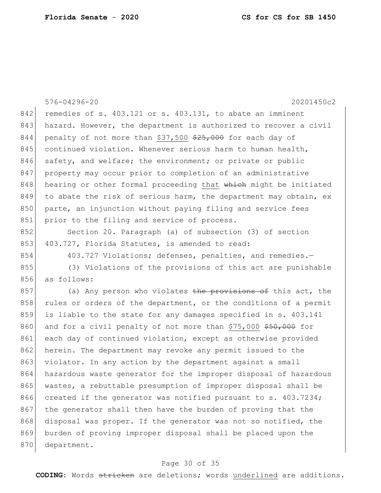576-04296-20 20201450c2 842 remedies of s. 403.121 or s. 403.131, to abate an imminent 843 hazard. However, the department is authorized to recover a civil 844 penalty of not more than  $$37,500$   $$25,000$  for each day of 845 continued violation. Whenever serious harm to human health, 846 safety, and welfare; the environment; or private or public 847 property may occur prior to completion of an administrative 848 hearing or other formal proceeding that which might be initiated 849 to abate the risk of serious harm, the department may obtain, ex 850 parte, an injunction without paying filing and service fees 851 prior to the filing and service of process. 852 Section 20. Paragraph (a) of subsection (3) of section 853 403.727, Florida Statutes, is amended to read: 854 403.727 Violations; defenses, penalties, and remedies.-855 (3) Violations of the provisions of this act are punishable 856 as follows: 857 (a) Any person who violates the provisions of this act, the 858 rules or orders of the department, or the conditions of a permit 859 is liable to the state for any damages specified in s. 403.141 860 and for a civil penalty of not more than \$75,000 \$50,000 for 861 each day of continued violation, except as otherwise provided 862 herein. The department may revoke any permit issued to the 863 violator. In any action by the department against a small 864 hazardous waste generator for the improper disposal of hazardous 865 wastes, a rebuttable presumption of improper disposal shall be 866 created if the generator was notified pursuant to s. 403.7234; 867 the generator shall then have the burden of proving that the 868 disposal was proper. If the generator was not so notified, the 869 burden of proving improper disposal shall be placed upon the 870 department.

## Page 30 of 35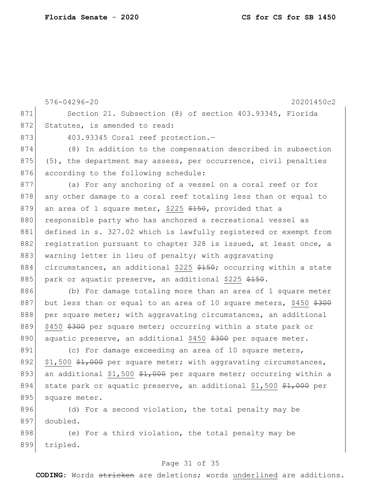899 tripled.

576-04296-20 20201450c2 871 Section 21. Subsection (8) of section 403.93345, Florida 872 Statutes, is amended to read: 873 403.93345 Coral reef protection.-874 (8) In addition to the compensation described in subsection 875  $(5)$ , the department may assess, per occurrence, civil penalties 876 according to the following schedule: 877 (a) For any anchoring of a vessel on a coral reef or for 878 any other damage to a coral reef totaling less than or equal to 879 an area of 1 square meter, \$225  $\frac{150}{100}$ , provided that a 880 responsible party who has anchored a recreational vessel as 881 defined in s. 327.02 which is lawfully registered or exempt from 882 registration pursuant to chapter 328 is issued, at least once, a 883 warning letter in lieu of penalty; with aggravating 884 circumstances, an additional \$225  $\frac{25}{7}$ ; occurring within a state 885 park or aquatic preserve, an additional \$225  $$150$ . 886 (b) For damage totaling more than an area of 1 square meter 887 but less than or equal to an area of 10 square meters, \$450  $$300$ 888 per square meter; with aggravating circumstances, an additional 889 \$450 \$300 per square meter; occurring within a state park or 890 aquatic preserve, an additional \$450 \$300 per square meter. 891 (c) For damage exceeding an area of 10 square meters, 892  $\frac{1}{1}$ ,500 \$1,000 per square meter; with aggravating circumstances, 893 an additional \$1,500  $\frac{1}{2}$ ,000 per square meter; occurring within a 894 state park or aquatic preserve, an additional \$1,500  $\frac{1}{2}$ ,000 per 895 square meter. 896 (d) For a second violation, the total penalty may be 897 doubled. 898 (e) For a third violation, the total penalty may be

## Page 31 of 35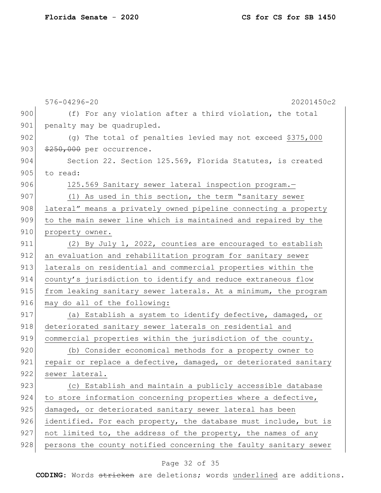|     | 576-04296-20<br>20201450c2                                       |
|-----|------------------------------------------------------------------|
| 900 | (f) For any violation after a third violation, the total         |
| 901 | penalty may be quadrupled.                                       |
| 902 | (q) The total of penalties levied may not exceed \$375,000       |
| 903 | $\frac{250}{100}$ , 000 per occurrence.                          |
| 904 | Section 22. Section 125.569, Florida Statutes, is created        |
| 905 | to read:                                                         |
| 906 | 125.569 Sanitary sewer lateral inspection program.-              |
| 907 | (1) As used in this section, the term "sanitary sewer            |
| 908 | lateral" means a privately owned pipeline connecting a property  |
| 909 | to the main sewer line which is maintained and repaired by the   |
| 910 | property owner.                                                  |
| 911 | (2) By July 1, 2022, counties are encouraged to establish        |
| 912 | an evaluation and rehabilitation program for sanitary sewer      |
| 913 | laterals on residential and commercial properties within the     |
| 914 | county's jurisdiction to identify and reduce extraneous flow     |
| 915 | from leaking sanitary sewer laterals. At a minimum, the program  |
| 916 | may do all of the following:                                     |
| 917 | (a) Establish a system to identify defective, damaged, or        |
| 918 | deteriorated sanitary sewer laterals on residential and          |
| 919 | commercial properties within the jurisdiction of the county.     |
| 920 | (b) Consider economical methods for a property owner to          |
| 921 | repair or replace a defective, damaged, or deteriorated sanitary |
| 922 | sewer lateral.                                                   |
| 923 | (c) Establish and maintain a publicly accessible database        |
| 924 | to store information concerning properties where a defective,    |
| 925 | damaged, or deteriorated sanitary sewer lateral has been         |
| 926 | identified. For each property, the database must include, but is |
| 927 | not limited to, the address of the property, the names of any    |
| 928 | persons the county notified concerning the faulty sanitary sewer |

# Page 32 of 35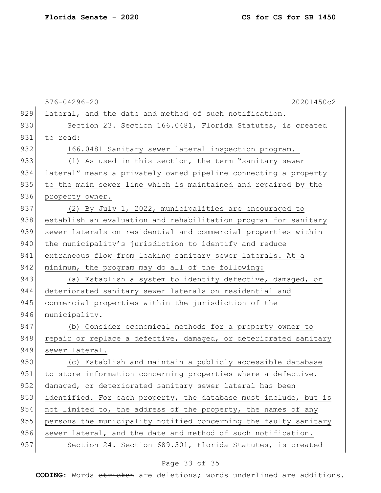|     | 576-04296-20<br>20201450c2                                       |
|-----|------------------------------------------------------------------|
| 929 | lateral, and the date and method of such notification.           |
| 930 | Section 23. Section 166.0481, Florida Statutes, is created       |
| 931 | to read:                                                         |
| 932 | 166.0481 Sanitary sewer lateral inspection program.-             |
| 933 | (1) As used in this section, the term "sanitary sewer            |
| 934 | lateral" means a privately owned pipeline connecting a property  |
| 935 | to the main sewer line which is maintained and repaired by the   |
| 936 | property owner.                                                  |
| 937 | (2) By July 1, 2022, municipalities are encouraged to            |
| 938 | establish an evaluation and rehabilitation program for sanitary  |
| 939 | sewer laterals on residential and commercial properties within   |
| 940 | the municipality's jurisdiction to identify and reduce           |
| 941 | extraneous flow from leaking sanitary sewer laterals. At a       |
| 942 | minimum, the program may do all of the following:                |
| 943 | (a) Establish a system to identify defective, damaged, or        |
| 944 | deteriorated sanitary sewer laterals on residential and          |
| 945 | commercial properties within the jurisdiction of the             |
| 946 | municipality.                                                    |
| 947 | (b) Consider economical methods for a property owner to          |
| 948 | repair or replace a defective, damaged, or deteriorated sanitary |
| 949 | sewer lateral.                                                   |
| 950 | (c) Establish and maintain a publicly accessible database        |
| 951 | to store information concerning properties where a defective,    |
| 952 | damaged, or deteriorated sanitary sewer lateral has been         |
| 953 | identified. For each property, the database must include, but is |
| 954 | not limited to, the address of the property, the names of any    |
| 955 | persons the municipality notified concerning the faulty sanitary |
| 956 | sewer lateral, and the date and method of such notification.     |
| 957 | Section 24. Section 689.301, Florida Statutes, is created        |

# Page 33 of 35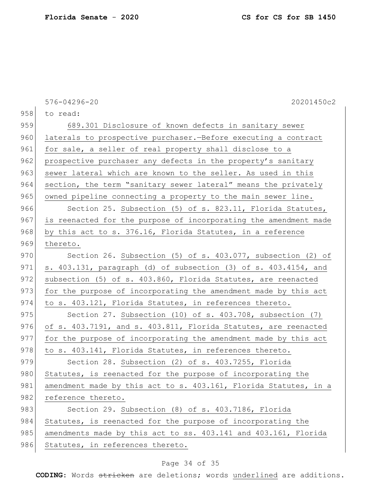|     | 20201450c2<br>576-04296-20                                       |
|-----|------------------------------------------------------------------|
| 958 | to read:                                                         |
| 959 | 689.301 Disclosure of known defects in sanitary sewer            |
| 960 | laterals to prospective purchaser. - Before executing a contract |
| 961 | for sale, a seller of real property shall disclose to a          |
| 962 | prospective purchaser any defects in the property's sanitary     |
| 963 | sewer lateral which are known to the seller. As used in this     |
| 964 | section, the term "sanitary sewer lateral" means the privately   |
| 965 | owned pipeline connecting a property to the main sewer line.     |
| 966 | Section 25. Subsection (5) of s. 823.11, Florida Statutes,       |
| 967 | is reenacted for the purpose of incorporating the amendment made |
| 968 | by this act to s. 376.16, Florida Statutes, in a reference       |
| 969 | thereto.                                                         |
| 970 | Section 26. Subsection (5) of s. 403.077, subsection (2) of      |
| 971 | s. 403.131, paragraph (d) of subsection (3) of s. 403.4154, and  |
| 972 | subsection (5) of s. 403.860, Florida Statutes, are reenacted    |
| 973 | for the purpose of incorporating the amendment made by this act  |
| 974 | to s. 403.121, Florida Statutes, in references thereto.          |
| 975 | Section 27. Subsection (10) of s. 403.708, subsection (7)        |
| 976 | of s. 403.7191, and s. 403.811, Florida Statutes, are reenacted  |
| 977 | for the purpose of incorporating the amendment made by this act  |
| 978 | to s. 403.141, Florida Statutes, in references thereto.          |
| 979 | Section 28. Subsection (2) of s. 403.7255, Florida               |
| 980 | Statutes, is reenacted for the purpose of incorporating the      |
| 981 | amendment made by this act to s. 403.161, Florida Statutes, in a |
| 982 | reference thereto.                                               |
| 983 | Section 29. Subsection (8) of s. 403.7186, Florida               |
| 984 | Statutes, is reenacted for the purpose of incorporating the      |
| 985 | amendments made by this act to ss. 403.141 and 403.161, Florida  |
| 986 | Statutes, in references thereto.                                 |

# Page 34 of 35